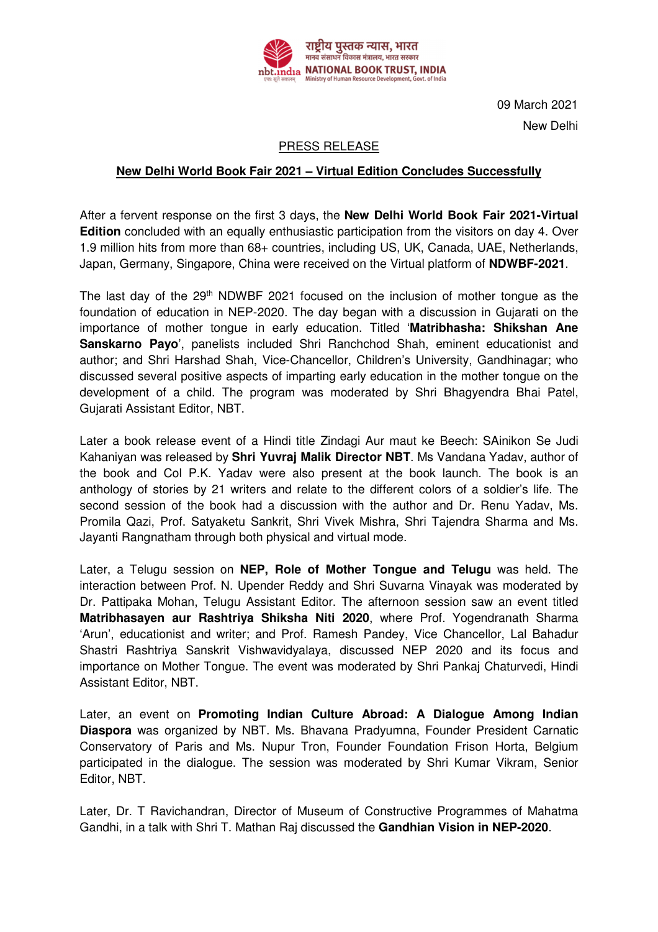

09 March 2021 New Delhi

## PRESS RELEASE

## **New Delhi World Book Fair 2021 – Virtual Edition Concludes Successfully**

After a fervent response on the first 3 days, the **New Delhi World Book Fair 2021-Virtual Edition** concluded with an equally enthusiastic participation from the visitors on day 4. Over 1.9 million hits from more than 68+ countries, including US, UK, Canada, UAE, Netherlands, Japan, Germany, Singapore, China were received on the Virtual platform of **NDWBF-2021**.

The last day of the  $29<sup>th</sup>$  NDWBF 2021 focused on the inclusion of mother tongue as the foundation of education in NEP-2020. The day began with a discussion in Gujarati on the importance of mother tongue in early education. Titled '**Matribhasha: Shikshan Ane Sanskarno Payo**', panelists included Shri Ranchchod Shah, eminent educationist and author; and Shri Harshad Shah, Vice-Chancellor, Children's University, Gandhinagar; who discussed several positive aspects of imparting early education in the mother tongue on the development of a child. The program was moderated by Shri Bhagyendra Bhai Patel, Gujarati Assistant Editor, NBT.

Later a book release event of a Hindi title Zindagi Aur maut ke Beech: SAinikon Se Judi Kahaniyan was released by **Shri Yuvraj Malik Director NBT**. Ms Vandana Yadav, author of the book and Col P.K. Yadav were also present at the book launch. The book is an anthology of stories by 21 writers and relate to the different colors of a soldier's life. The second session of the book had a discussion with the author and Dr. Renu Yadav, Ms. Promila Qazi, Prof. Satyaketu Sankrit, Shri Vivek Mishra, Shri Tajendra Sharma and Ms. Jayanti Rangnatham through both physical and virtual mode.

Later, a Telugu session on **NEP, Role of Mother Tongue and Telugu** was held. The interaction between Prof. N. Upender Reddy and Shri Suvarna Vinayak was moderated by Dr. Pattipaka Mohan, Telugu Assistant Editor. The afternoon session saw an event titled **Matribhasayen aur Rashtriya Shiksha Niti 2020**, where Prof. Yogendranath Sharma 'Arun', educationist and writer; and Prof. Ramesh Pandey, Vice Chancellor, Lal Bahadur Shastri Rashtriya Sanskrit Vishwavidyalaya, discussed NEP 2020 and its focus and importance on Mother Tongue. The event was moderated by Shri Pankaj Chaturvedi, Hindi Assistant Editor, NBT.

Later, an event on **Promoting Indian Culture Abroad: A Dialogue Among Indian Diaspora** was organized by NBT. Ms. Bhavana Pradyumna, Founder President Carnatic Conservatory of Paris and Ms. Nupur Tron, Founder Foundation Frison Horta, Belgium participated in the dialogue. The session was moderated by Shri Kumar Vikram, Senior Editor, NBT.

Later, Dr. T Ravichandran, Director of Museum of Constructive Programmes of Mahatma Gandhi, in a talk with Shri T. Mathan Raj discussed the **Gandhian Vision in NEP-2020**.